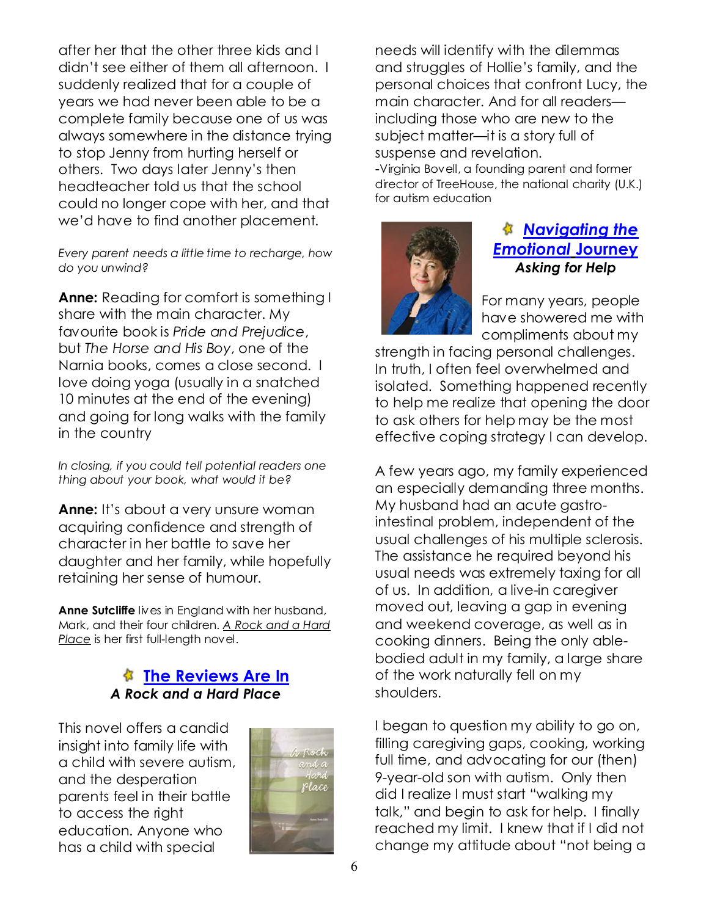after her that the other three kids and I didn't see either of them all afternoon. I suddenly realized that for a couple of years we had never been able to be a complete family because one of us was always somewhere in the distance trying to stop Jenny from hurting herself or others. Two days later Jenny's then headteacher told us that the school could no longer cope with her, and that we'd have to find another placement.

*Every parent needs a little time to recharge, how do you unwind?* 

**Anne:** Reading for comfort is something I share with the main character. My favourite book is *Pride and Prejudice*, but *The Horse and His Boy*, one of the Narnia books, comes a close second. I love doing yoga (usually in a snatched 10 minutes at the end of the evening) and going for long walks with the family in the country

*In closing, if you could tell potential readers one thing about your book, what would it be?* 

**Anne:** It's about a very unsure woman acquiring confidence and strength of character in her battle to save her daughter and her family, while hopefully retaining her sense of humour.

**Anne Sutcliffe** lives in England with her husband, Mark, and their four children. *A Rock and a Hard Place* is her first full-length novel.

### **The Reviews Are In** *A Rock and a Hard Place*

This novel offers a candid insight into family life with a child with severe autism, and the desperation parents feel in their battle to access the right education. Anyone who has a child with special



needs will identify with the dilemmas and struggles of Hollie's family, and the personal choices that confront Lucy, the main character. And for all readers including those who are new to the subject matter—it is a story full of suspense and revelation. -Virginia Bovell, a founding parent and former

director of TreeHouse, the national charity (U.K.) for autism education



# *Navigating the Emotional* **Journey** *Asking for Help*

For many years, people have showered me with compliments about my

strength in facing personal challenges. In truth, I often feel overwhelmed and isolated. Something happened recently to help me realize that opening the door to ask others for help may be the most effective coping strategy I can develop.

A few years ago, my family experienced an especially demanding three months. My husband had an acute gastrointestinal problem, independent of the usual challenges of his multiple sclerosis. The assistance he required beyond his usual needs was extremely taxing for all of us. In addition, a live-in caregiver moved out, leaving a gap in evening and weekend coverage, as well as in cooking dinners. Being the only ablebodied adult in my family, a large share of the work naturally fell on my shoulders.

I began to question my ability to go on, filling caregiving gaps, cooking, working full time, and advocating for our (then) 9-year-old son with autism. Only then did I realize I must start "walking my talk," and begin to ask for help. I finally reached my limit. I knew that if I did not change my attitude about "not being a